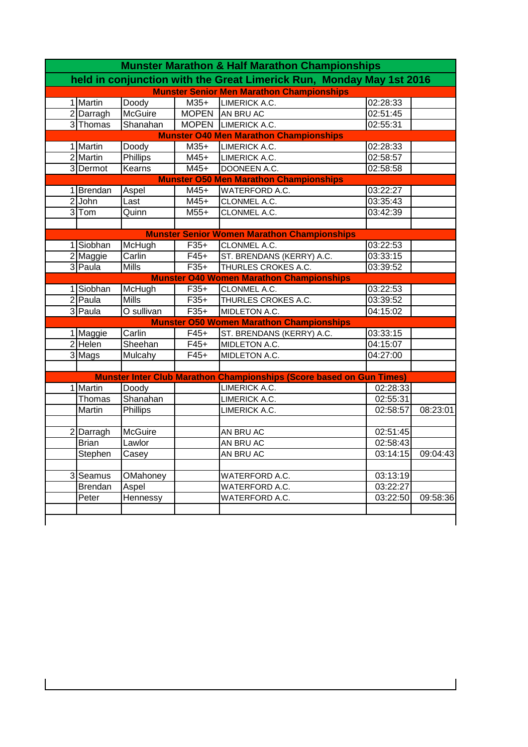| <b>Munster Marathon &amp; Half Marathon Championships</b> |                                               |                 |              |                                                                             |          |                   |  |  |  |
|-----------------------------------------------------------|-----------------------------------------------|-----------------|--------------|-----------------------------------------------------------------------------|----------|-------------------|--|--|--|
|                                                           |                                               |                 |              | held in conjunction with the Great Limerick Run, Monday May 1st 2016        |          |                   |  |  |  |
| <b>Munster Senior Men Marathon Championships</b>          |                                               |                 |              |                                                                             |          |                   |  |  |  |
|                                                           | 1 Martin                                      | Doody           | $M35+$       | <b>LIMERICK A.C.</b>                                                        | 02:28:33 |                   |  |  |  |
|                                                           | $2$ Darragh                                   | <b>McGuire</b>  | <b>MOPEN</b> | AN BRU AC                                                                   | 02:51:45 |                   |  |  |  |
|                                                           | 3 Thomas                                      | Shanahan        |              | MOPEN LIMERICK A.C.                                                         | 02:55:31 |                   |  |  |  |
|                                                           | <b>Munster O40 Men Marathon Championships</b> |                 |              |                                                                             |          |                   |  |  |  |
|                                                           | 1 Martin                                      | Doody           | $M35+$       | LIMERICK A.C.                                                               | 02:28:33 |                   |  |  |  |
|                                                           | 2 Martin                                      | <b>Phillips</b> | $M45+$       | LIMERICK A.C.                                                               | 02:58:57 |                   |  |  |  |
|                                                           | 3 Dermot                                      | Kearns          | $M45+$       | DOONEEN A.C.                                                                | 02:58:58 |                   |  |  |  |
|                                                           |                                               |                 |              | <b>Munster O50 Men Marathon Championships</b>                               |          |                   |  |  |  |
|                                                           | 1 Brendan                                     | Aspel           | $M45+$       | <b>WATERFORD A.C.</b>                                                       | 03:22:27 |                   |  |  |  |
|                                                           | $2$ John                                      | Last            | $M45+$       | CLONMEL A.C.                                                                | 03:35:43 |                   |  |  |  |
|                                                           | $3$ Tom                                       | Quinn           | $M55+$       | CLONMEL A.C.                                                                | 03:42:39 |                   |  |  |  |
|                                                           |                                               |                 |              |                                                                             |          |                   |  |  |  |
|                                                           |                                               |                 |              | <b>Munster Senior Women Marathon Championships</b>                          |          |                   |  |  |  |
|                                                           | 1 Siobhan                                     | McHugh          | $F35+$       | CLONMEL A.C.                                                                | 03:22:53 |                   |  |  |  |
|                                                           | 2 Maggie                                      | Carlin          | $F45+$       | ST. BRENDANS (KERRY) A.C.                                                   | 03:33:15 |                   |  |  |  |
|                                                           | 3 Paula                                       | <b>Mills</b>    | $F35+$       | THURLES CROKES A.C.                                                         | 03:39:52 |                   |  |  |  |
|                                                           |                                               |                 |              | <b>Munster O40 Women Marathon Championships</b>                             |          |                   |  |  |  |
|                                                           | 1 Siobhan                                     | McHugh          | $F35+$       | CLONMEL A.C.                                                                | 03:22:53 |                   |  |  |  |
|                                                           | 2 Paula                                       | <b>Mills</b>    | $F35+$       | THURLES CROKES A.C.                                                         | 03:39:52 |                   |  |  |  |
|                                                           | 3 Paula                                       | O sullivan      | $F35+$       | MIDLETON A.C.                                                               | 04:15:02 |                   |  |  |  |
|                                                           |                                               |                 |              | <b>Munster O50 Women Marathon Championships</b>                             |          |                   |  |  |  |
|                                                           | 1 Maggie                                      | Carlin          | $F45+$       | ST. BRENDANS (KERRY) A.C.                                                   | 03:33:15 |                   |  |  |  |
|                                                           | 2 Helen                                       | Sheehan         | $F45+$       | MIDLETON A.C.                                                               | 04:15:07 |                   |  |  |  |
|                                                           | $\overline{3}$ Mags                           | Mulcahy         | $F45+$       | MIDLETON A.C.                                                               | 04:27:00 |                   |  |  |  |
|                                                           |                                               |                 |              |                                                                             |          |                   |  |  |  |
|                                                           |                                               |                 |              | <b>Munster Inter Club Marathon Championships (Score based on Gun Times)</b> |          |                   |  |  |  |
|                                                           | 1 Martin                                      | Doody           |              | LIMERICK A.C.                                                               | 02:28:33 |                   |  |  |  |
|                                                           | Thomas                                        | Shanahan        |              | LIMERICK A.C.                                                               | 02:55:31 |                   |  |  |  |
|                                                           | Martin                                        | Phillips        |              | LIMERICK A.C.                                                               | 02:58:57 | 08:23:01          |  |  |  |
|                                                           |                                               |                 |              |                                                                             |          |                   |  |  |  |
| 21                                                        | Darragh                                       | McGuire         |              | AN BRU AC                                                                   | 02:51:45 |                   |  |  |  |
|                                                           | <b>Brian</b>                                  | Lawlor          |              | AN BRU AC                                                                   | 02:58:43 |                   |  |  |  |
|                                                           | <b>Stephen</b>                                | Casey           |              | AN BRU AC                                                                   |          | 03:14:15 09:04:43 |  |  |  |
|                                                           |                                               |                 |              |                                                                             |          |                   |  |  |  |
|                                                           | 3 Seamus                                      | OMahoney        |              | WATERFORD A.C.                                                              | 03:13:19 |                   |  |  |  |
|                                                           | <b>Brendan</b>                                | Aspel           |              | WATERFORD A.C.                                                              | 03:22:27 |                   |  |  |  |
|                                                           | Peter                                         | Hennessy        |              | WATERFORD A.C.                                                              | 03:22:50 | 09:58:36          |  |  |  |
|                                                           |                                               |                 |              |                                                                             |          |                   |  |  |  |
|                                                           |                                               |                 |              |                                                                             |          |                   |  |  |  |

 $\begin{array}{c} \hline \end{array}$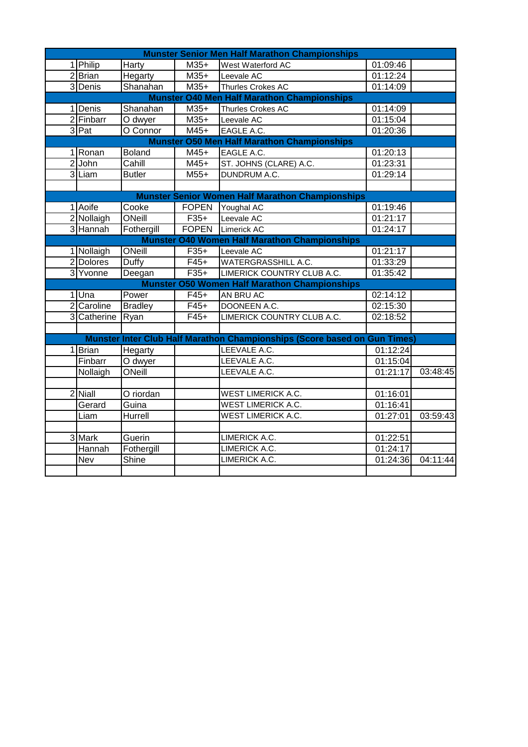| <b>Munster Senior Men Half Marathon Championships</b> |                                                    |                |              |                                                                           |          |          |  |  |
|-------------------------------------------------------|----------------------------------------------------|----------------|--------------|---------------------------------------------------------------------------|----------|----------|--|--|
|                                                       | 1 Philip                                           | <b>Harty</b>   | $M35+$       | West Waterford AC                                                         | 01:09:46 |          |  |  |
|                                                       | $2$ Brian                                          | Hegarty        | $M35+$       | Leevale AC                                                                | 01:12:24 |          |  |  |
|                                                       | 3 Denis                                            | Shanahan       | $M35+$       | Thurles Crokes AC                                                         | 01:14:09 |          |  |  |
| <b>Munster O40 Men Half Marathon Championships</b>    |                                                    |                |              |                                                                           |          |          |  |  |
|                                                       | 1 Denis                                            | Shanahan       | $M35+$       | Thurles Crokes AC                                                         | 01:14:09 |          |  |  |
|                                                       | 2 Finbarr                                          | O dwyer        | $M35+$       | Leevale AC                                                                | 01:15:04 |          |  |  |
|                                                       | 3 Pat                                              | O Connor       | $M45+$       | EAGLE A.C.                                                                | 01:20:36 |          |  |  |
|                                                       | <b>Munster O50 Men Half Marathon Championships</b> |                |              |                                                                           |          |          |  |  |
|                                                       | 1 Ronan                                            | <b>Boland</b>  | M45+         | EAGLE A.C.                                                                | 01:20:13 |          |  |  |
|                                                       | 2 John                                             | Cahill         | $M45+$       | ST. JOHNS (CLARE) A.C.                                                    | 01:23:31 |          |  |  |
|                                                       | 3 Liam                                             | <b>Butler</b>  | $M55+$       | DUNDRUM A.C.                                                              | 01:29:14 |          |  |  |
|                                                       |                                                    |                |              |                                                                           |          |          |  |  |
|                                                       |                                                    |                |              | <b>Munster Senior Women Half Marathon Championships</b>                   |          |          |  |  |
|                                                       | 1 Aoife                                            | Cooke          | <b>FOPEN</b> | Youghal AC                                                                | 01:19:46 |          |  |  |
|                                                       | 2 Nollaigh                                         | ONeill         | $F35+$       | Leevale AC                                                                | 01:21:17 |          |  |  |
|                                                       | 3 Hannah                                           | Fothergill     |              | FOPEN Limerick AC                                                         | 01:24:17 |          |  |  |
|                                                       |                                                    |                |              | <b>Munster O40 Women Half Marathon Championships</b>                      |          |          |  |  |
|                                                       | 1 Nollaigh                                         | ONeill         | $F35+$       | Leevale AC                                                                | 01:21:17 |          |  |  |
|                                                       | 2Dolores                                           | Duffy          | $F45+$       | <b>WATERGRASSHILL A.C.</b>                                                | 01:33:29 |          |  |  |
|                                                       | 3 Yvonne                                           | Deegan         | $F35+$       | LIMERICK COUNTRY CLUB A.C.                                                | 01:35:42 |          |  |  |
|                                                       |                                                    |                |              | <b>Munster O50 Women Half Marathon Championships</b>                      |          |          |  |  |
|                                                       | 1Una                                               | Power          | $F45+$       | AN BRU AC                                                                 | 02:14:12 |          |  |  |
|                                                       | 2 Caroline                                         | <b>Bradley</b> | $F45+$       | DOONEEN A.C.                                                              | 02:15:30 |          |  |  |
|                                                       | 3 Catherine                                        | Ryan           | $F45+$       | LIMERICK COUNTRY CLUB A.C.                                                | 02:18:52 |          |  |  |
|                                                       |                                                    |                |              |                                                                           |          |          |  |  |
|                                                       |                                                    |                |              | Munster Inter Club Half Marathon Championships (Score based on Gun Times) |          |          |  |  |
|                                                       | 1Brian                                             | Hegarty        |              | LEEVALE A.C.                                                              | 01:12:24 |          |  |  |
|                                                       | Finbarr                                            | O dwyer        |              | LEEVALE A.C.                                                              | 01:15:04 |          |  |  |
|                                                       | Nollaigh                                           | ONeill         |              | LEEVALE A.C.                                                              | 01:21:17 | 03:48:45 |  |  |
|                                                       |                                                    |                |              |                                                                           |          |          |  |  |
|                                                       | 2 Niall                                            | O riordan      |              | WEST LIMERICK A.C.                                                        | 01:16:01 |          |  |  |
|                                                       | Gerard                                             | Guina          |              | <b>WEST LIMERICK A.C.</b>                                                 | 01:16:41 |          |  |  |
|                                                       | Liam                                               | Hurrell        |              | WEST LIMERICK A.C.                                                        | 01:27:01 | 03:59:43 |  |  |
|                                                       |                                                    |                |              |                                                                           |          |          |  |  |
|                                                       | 3 Mark                                             | Guerin         |              | LIMERICK A.C.                                                             | 01:22:51 |          |  |  |
|                                                       | Hannah                                             | Fothergill     |              | LIMERICK A.C.                                                             | 01:24:17 |          |  |  |
|                                                       | Nev                                                | Shine          |              | LIMERICK A.C.                                                             | 01:24:36 | 04:11:44 |  |  |
|                                                       |                                                    |                |              |                                                                           |          |          |  |  |